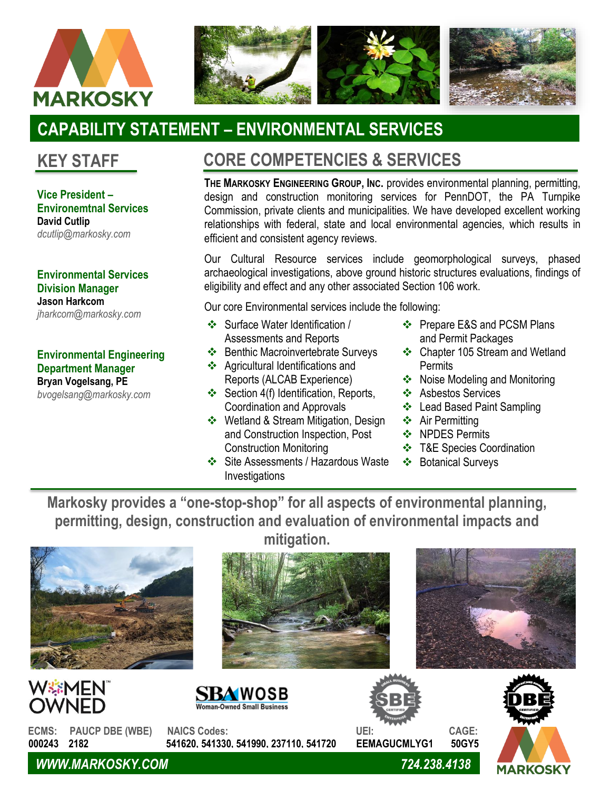



# **CAPABILITY STATEMENT – ENVIRONMENTAL SERVICES**

**Vice President – Environemtnal Services David Cutlip** *dcutlip@markosky.com*

**Environmental Services Division Manager Jason Harkcom** *jharkcom@markosky.com*

### **Environmental Engineering Department Manager Bryan Vogelsang, PE**

*bvogelsang@markosky.com*

## **KEY STAFF CORE COMPETENCIES & SERVICES**

**THE MARKOSKY ENGINEERING GROUP, INC.** provides environmental planning, permitting, design and construction monitoring services for PennDOT, the PA Turnpike Commission, private clients and municipalities. We have developed excellent working relationships with federal, state and local environmental agencies, which results in efficient and consistent agency reviews.

Our Cultural Resource services include geomorphological surveys, phased archaeological investigations, above ground historic structures evaluations, findings of eligibility and effect and any other associated Section 106 work.

Our core Environmental services include the following:

- ❖ Surface Water Identification / Assessments and Reports
- ❖ Benthic Macroinvertebrate Surveys
- ❖ Agricultural Identifications and Reports (ALCAB Experience)
- ❖ Section 4(f) Identification, Reports, Coordination and Approvals
- ❖ Wetland & Stream Mitigation, Design and Construction Inspection, Post Construction Monitoring
- ❖ Site Assessments / Hazardous Waste Investigations
- ❖ Prepare E&S and PCSM Plans and Permit Packages
- ❖ Chapter 105 Stream and Wetland **Permits**
- ❖ Noise Modeling and Monitoring
- ❖ Asbestos Services
- ❖ Lead Based Paint Sampling
- ❖ Air Permitting
- ❖ NPDES Permits
- ❖ T&E Species Coordination
- ❖ Botanical Surveys

**Markosky provides a "one-stop-shop" for all aspects of environmental planning, permitting, design, construction and evaluation of environmental impacts and mitigation.**